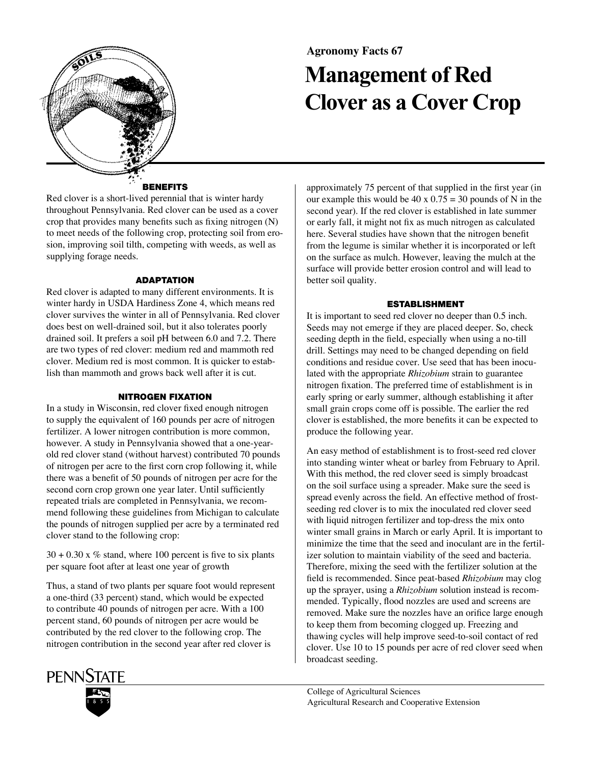

## **Agronomy Facts 67**

# **Management of Red Clover as a Cover Crop**

## **BENEFITS**

Red clover is a short-lived perennial that is winter hardy throughout Pennsylvania. Red clover can be used as a cover crop that provides many benefits such as fixing nitrogen (N) to meet needs of the following crop, protecting soil from erosion, improving soil tilth, competing with weeds, as well as supplying forage needs.

## **ADAPTATION**

Red clover is adapted to many different environments. It is winter hardy in USDA Hardiness Zone 4, which means red clover survives the winter in all of Pennsylvania. Red clover does best on well-drained soil, but it also tolerates poorly drained soil. It prefers a soil pH between 6.0 and 7.2. There are two types of red clover: medium red and mammoth red clover. Medium red is most common. It is quicker to establish than mammoth and grows back well after it is cut.

## Nitrogen Fixation

In a study in Wisconsin, red clover fixed enough nitrogen to supply the equivalent of 160 pounds per acre of nitrogen fertilizer. A lower nitrogen contribution is more common, however. A study in Pennsylvania showed that a one-yearold red clover stand (without harvest) contributed 70 pounds of nitrogen per acre to the first corn crop following it, while there was a benefit of 50 pounds of nitrogen per acre for the second corn crop grown one year later. Until sufficiently repeated trials are completed in Pennsylvania, we recommend following these guidelines from Michigan to calculate the pounds of nitrogen supplied per acre by a terminated red clover stand to the following crop:

 $30 + 0.30$  x % stand, where 100 percent is five to six plants per square foot after at least one year of growth

Thus, a stand of two plants per square foot would represent a one-third (33 percent) stand, which would be expected to contribute 40 pounds of nitrogen per acre. With a 100 percent stand, 60 pounds of nitrogen per acre would be contributed by the red clover to the following crop. The nitrogen contribution in the second year after red clover is

approximately 75 percent of that supplied in the first year (in our example this would be 40 x  $0.75 = 30$  pounds of N in the second year). If the red clover is established in late summer or early fall, it might not fix as much nitrogen as calculated here. Several studies have shown that the nitrogen benefit from the legume is similar whether it is incorporated or left on the surface as mulch. However, leaving the mulch at the surface will provide better erosion control and will lead to better soil quality.

## Establishment

It is important to seed red clover no deeper than 0.5 inch. Seeds may not emerge if they are placed deeper. So, check seeding depth in the field, especially when using a no-till drill. Settings may need to be changed depending on field conditions and residue cover. Use seed that has been inoculated with the appropriate *Rhizobium* strain to guarantee nitrogen fixation. The preferred time of establishment is in early spring or early summer, although establishing it after small grain crops come off is possible. The earlier the red clover is established, the more benefits it can be expected to produce the following year.

An easy method of establishment is to frost-seed red clover into standing winter wheat or barley from February to April. With this method, the red clover seed is simply broadcast on the soil surface using a spreader. Make sure the seed is spread evenly across the field. An effective method of frostseeding red clover is to mix the inoculated red clover seed with liquid nitrogen fertilizer and top-dress the mix onto winter small grains in March or early April. It is important to minimize the time that the seed and inoculant are in the fertilizer solution to maintain viability of the seed and bacteria. Therefore, mixing the seed with the fertilizer solution at the field is recommended. Since peat-based *Rhizobium* may clog up the sprayer, using a *Rhizobium* solution instead is recommended. Typically, flood nozzles are used and screens are removed. Make sure the nozzles have an orifice large enough to keep them from becoming clogged up. Freezing and thawing cycles will help improve seed-to-soil contact of red clover. Use 10 to 15 pounds per acre of red clover seed when broadcast seeding.

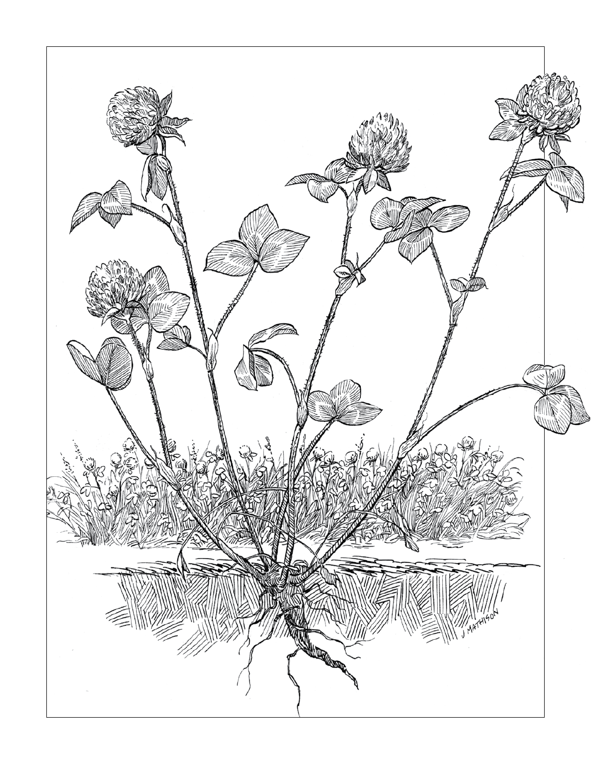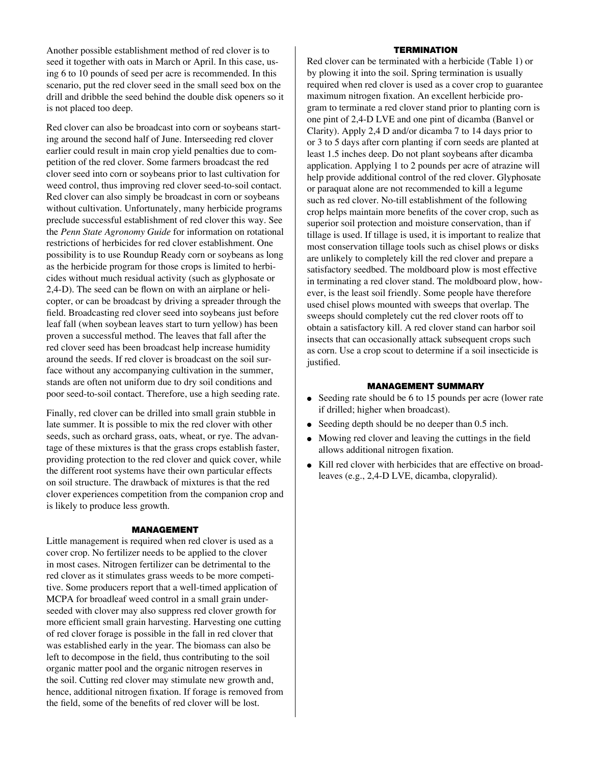Another possible establishment method of red clover is to seed it together with oats in March or April. In this case, using 6 to 10 pounds of seed per acre is recommended. In this scenario, put the red clover seed in the small seed box on the drill and dribble the seed behind the double disk openers so it is not placed too deep.

Red clover can also be broadcast into corn or soybeans starting around the second half of June. Interseeding red clover earlier could result in main crop yield penalties due to competition of the red clover. Some farmers broadcast the red clover seed into corn or soybeans prior to last cultivation for weed control, thus improving red clover seed-to-soil contact. Red clover can also simply be broadcast in corn or soybeans without cultivation. Unfortunately, many herbicide programs preclude successful establishment of red clover this way. See the *Penn State Agronomy Guide* for information on rotational restrictions of herbicides for red clover establishment. One possibility is to use Roundup Ready corn or soybeans as long as the herbicide program for those crops is limited to herbicides without much residual activity (such as glyphosate or 2,4-D). The seed can be flown on with an airplane or helicopter, or can be broadcast by driving a spreader through the field. Broadcasting red clover seed into soybeans just before leaf fall (when soybean leaves start to turn yellow) has been proven a successful method. The leaves that fall after the red clover seed has been broadcast help increase humidity around the seeds. If red clover is broadcast on the soil surface without any accompanying cultivation in the summer, stands are often not uniform due to dry soil conditions and poor seed-to-soil contact. Therefore, use a high seeding rate.

Finally, red clover can be drilled into small grain stubble in late summer. It is possible to mix the red clover with other seeds, such as orchard grass, oats, wheat, or rye. The advantage of these mixtures is that the grass crops establish faster, providing protection to the red clover and quick cover, while the different root systems have their own particular effects on soil structure. The drawback of mixtures is that the red clover experiences competition from the companion crop and is likely to produce less growth.

#### Management

Little management is required when red clover is used as a cover crop. No fertilizer needs to be applied to the clover in most cases. Nitrogen fertilizer can be detrimental to the red clover as it stimulates grass weeds to be more competitive. Some producers report that a well-timed application of MCPA for broadleaf weed control in a small grain underseeded with clover may also suppress red clover growth for more efficient small grain harvesting. Harvesting one cutting of red clover forage is possible in the fall in red clover that was established early in the year. The biomass can also be left to decompose in the field, thus contributing to the soil organic matter pool and the organic nitrogen reserves in the soil. Cutting red clover may stimulate new growth and, hence, additional nitrogen fixation. If forage is removed from the field, some of the benefits of red clover will be lost.

#### **TERMINATION**

Red clover can be terminated with a herbicide (Table 1) or by plowing it into the soil. Spring termination is usually required when red clover is used as a cover crop to guarantee maximum nitrogen fixation. An excellent herbicide program to terminate a red clover stand prior to planting corn is one pint of 2,4-D LVE and one pint of dicamba (Banvel or Clarity). Apply 2,4 D and/or dicamba 7 to 14 days prior to or 3 to 5 days after corn planting if corn seeds are planted at least 1.5 inches deep. Do not plant soybeans after dicamba application. Applying 1 to 2 pounds per acre of atrazine will help provide additional control of the red clover. Glyphosate or paraquat alone are not recommended to kill a legume such as red clover. No-till establishment of the following crop helps maintain more benefits of the cover crop, such as superior soil protection and moisture conservation, than if tillage is used. If tillage is used, it is important to realize that most conservation tillage tools such as chisel plows or disks are unlikely to completely kill the red clover and prepare a satisfactory seedbed. The moldboard plow is most effective in terminating a red clover stand. The moldboard plow, however, is the least soil friendly. Some people have therefore used chisel plows mounted with sweeps that overlap. The sweeps should completely cut the red clover roots off to obtain a satisfactory kill. A red clover stand can harbor soil insects that can occasionally attack subsequent crops such as corn. Use a crop scout to determine if a soil insecticide is justified.

#### Management Summary

- Seeding rate should be 6 to 15 pounds per acre (lower rate if drilled; higher when broadcast).
- $\bullet$  Seeding depth should be no deeper than 0.5 inch.
- Mowing red clover and leaving the cuttings in the field allows additional nitrogen fixation.
- Kill red clover with herbicides that are effective on broadleaves (e.g., 2,4-D LVE, dicamba, clopyralid).